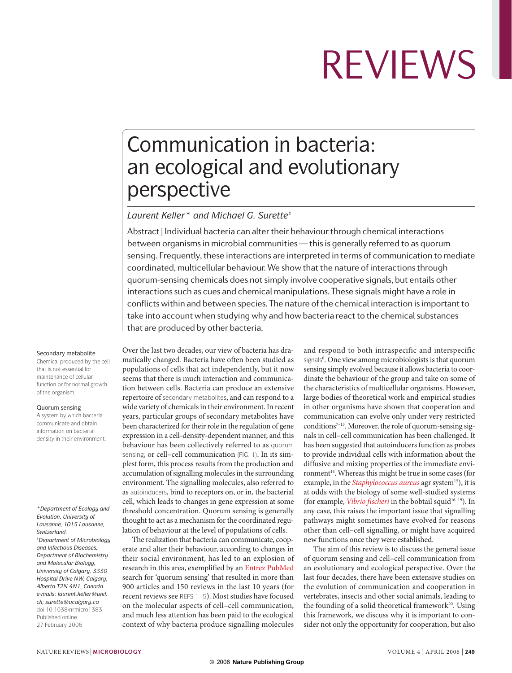## Communication in bacteria: an ecological and evolutionary perspective

### *Laurent Keller\* and Michael G. Surette‡*

Abstract | Individual bacteria can alter their behaviour through chemical interactions between organisms in microbial communities — this is generally referred to as quorum sensing. Frequently, these interactions are interpreted in terms of communication to mediate coordinated, multicellular behaviour. We show that the nature of interactions through quorum-sensing chemicals does not simply involve cooperative signals, but entails other interactions such as cues and chemical manipulations. These signals might have a role in conflicts within and between species. The nature of the chemical interaction is important to take into account when studying why and how bacteria react to the chemical substances that are produced by other bacteria.

#### Secondary metabolite

Chemical produced by the cell that is not essential for maintenance of cellular function or for normal growth of the organism.

#### Quorum sensing

A system by which bacteria communicate and obtain information on bacterial density in their environment.

*\*Department of Ecology and Evolution, University of Lausanne, 1015 Lausanne, Switzerland. ‡Department of Microbiology and Infectious Diseases, Department of Biochemistry and Molecular Biology, University of Calgary, 3330 Hospital Drive NW, Calgary, Alberta T2N 4N1, Canada. e-mails: laurent.keller@unil. ch; surette@ucalgary.ca* doi:10.1038/nrmicro1383 Published online 27 February 2006

Over the last two decades, our view of bacteria has dramatically changed. Bacteria have often been studied as populations of cells that act independently, but it now seems that there is much interaction and communication between cells. Bacteria can produce an extensive repertoire of secondary metabolites, and can respond to a wide variety of chemicals in their environment. In recent years, particular groups of secondary metabolites have been characterized for their role in the regulation of gene expression in a cell-density-dependent manner, and this behaviour has been collectively referred to as quorum sensing, or cell-cell communication (FIG. 1). In its simplest form, this process results from the production and accumulation of signalling molecules in the surrounding environment. The signalling molecules, also referred to as autoinducers, bind to receptors on, or in, the bacterial cell, which leads to changes in gene expression at some threshold concentration. Quorum sensing is generally thought to act as a mechanism for the coordinated regulation of behaviour at the level of populations of cells.

The realization that bacteria can communicate, cooperate and alter their behaviour, according to changes in their social environment, has led to an explosion of research in this area, exemplified by an Entrez PubMed search for 'quorum sensing' that resulted in more than 900 articles and 150 reviews in the last 10 years (for recent reviews see REFS 1–5). Most studies have focused on the molecular aspects of cell–cell communication, and much less attention has been paid to the ecological context of why bacteria produce signalling molecules and respond to both intraspecific and interspecific signals<sup>6</sup>. One view among microbiologists is that quorum sensing simply evolved because it allows bacteria to coordinate the behaviour of the group and take on some of the characteristics of multicellular organisms. However, large bodies of theoretical work and empirical studies in other organisms have shown that cooperation and communication can evolve only under very restricted conditions<sup> $7-13$ </sup>. Moreover, the role of quorum-sensing signals in cell–cell communication has been challenged. It has been suggested that autoinducers function as probes to provide individual cells with information about the diffusive and mixing properties of the immediate environment<sup>14</sup>. Whereas this might be true in some cases (for example, in the *Staphylococcus aureus* agr system<sup>15</sup>), it is at odds with the biology of some well-studied systems (for example, *Vibrio fischeri* in the bobtail squid<sup>16-19</sup>). In any case, this raises the important issue that signalling pathways might sometimes have evolved for reasons other than cell–cell signalling, or might have acquired new functions once they were established.

The aim of this review is to discuss the general issue of quorum sensing and cell–cell communication from an evolutionary and ecological perspective. Over the last four decades, there have been extensive studies on the evolution of communication and cooperation in vertebrates, insects and other social animals, leading to the founding of a solid theoretical framework<sup>20</sup>. Using this framework, we discuss why it is important to consider not only the opportunity for cooperation, but also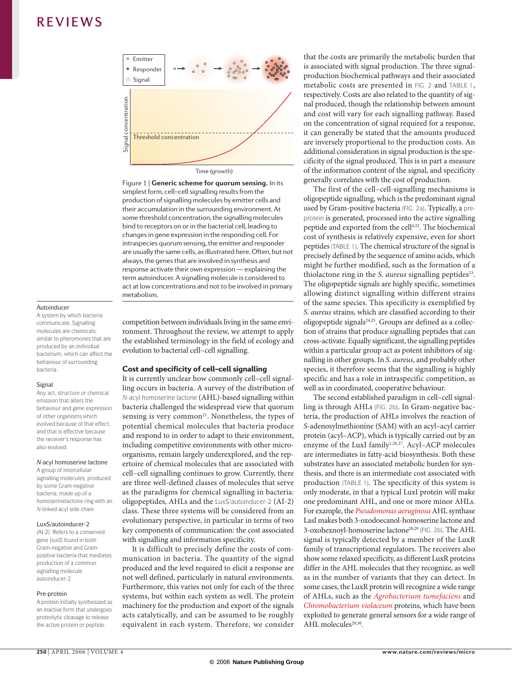

Figure 1 | **Generic scheme for quorum sensing.** In its simplest form, cell–cell signalling results from the production of signalling molecules by emitter cells and their accumulation in the surrounding environment. At some threshold concentration, the signalling molecules bind to receptors on or in the bacterial cell, leading to changes in gene expression in the responding cell. For intraspecies quorum sensing, the emitter and responder are usually the same cells, as illustrated here. Often, but not always, the genes that are involved in synthesis and response activate their own expression — explaining the term autoinducer. A signalling molecule is considered to act at low concentrations and not to be involved in primary metabolism.

#### Autoinducer

A system by which bacteria communicate. Signalling molecules are chemicals, similar to pheromones that are produced by an individual bacterium, which can affect the behaviour of surrounding bacteria.

#### Signal

Any act, structure or chemical emission that alters the behaviour and gene expression of other organisms which evolved because of that effect, and that is effective because the receiver's response has also evolved.

#### *N*-acyl homoserine lactone

A group of intercellular signalling molecules, produced by some Gram-negative bacteria, made up of a homoserinelactone ring with an *N*-linked acyl side chain.

#### LuxS/autoinducer-2

(AI-2). Refers to a conserved gene (*luxS*) found in both Gram-negative and Grampositive bacteria that mediates production of a common signalling molecule autoinducer-2.

#### Pre-protein

A protein initially synthesized as an inactive form that undergoes proteolytic cleavage to release the active protein or peptide.

competition between individuals living in the same environment. Throughout the review, we attempt to apply the established terminology in the field of ecology and evolution to bacterial cell–cell signalling.

#### Cost and specificity of cell–cell signalling

It is currently unclear how commonly cell–cell signalling occurs in bacteria. A survey of the distribution of *N*-acyl homoserine lactone (AHL)-based signalling within bacteria challenged the widespread view that quorum sensing is very common<sup>21</sup>. Nonetheless, the types of potential chemical molecules that bacteria produce and respond to in order to adapt to their environment, including competitive environments with other microorganisms, remain largely underexplored, and the repertoire of chemical molecules that are associated with cell–cell signalling continues to grow. Currently, there are three well-defined classes of molecules that serve as the paradigms for chemical signalling in bacteria: oligopeptides, AHLs and the LuxS/autoinducer-2 (AI-2) class. These three systems will be considered from an evolutionary perspective, in particular in terms of two key components of communication: the cost associated with signalling and information specificity.

It is difficult to precisely define the costs of communication in bacteria. The quantity of the signal produced and the level required to elicit a response are not well defined, particularly in natural environments. Furthermore, this varies not only for each of the three systems, but within each system as well. The protein machinery for the production and export of the signals acts catalytically, and can be assumed to be roughly equivalent in each system. Therefore, we consider that the costs are primarily the metabolic burden that is associated with signal production. The three signalproduction biochemical pathways and their associated metabolic costs are presented in FIG. 2 and TABLE 1, respectively. Costs are also related to the quantity of signal produced, though the relationship between amount and cost will vary for each signalling pathway. Based on the concentration of signal required for a response, it can generally be stated that the amounts produced are inversely proportional to the production costs. An additional consideration in signal production is the specificity of the signal produced. This is in part a measure of the information content of the signal, and specificity generally correlates with the cost of production.

The first of the cell–cell-signalling mechanisms is oligopeptide signalling, which is the predominant signal used by Gram-positive bacteria (FIG. 2a). Typically, a preprotein is generated, processed into the active signalling peptide and exported from the cell<sup>4,22</sup>. The biochemical cost of synthesis is relatively expensive, even for short peptides (TABLE 1). The chemical structure of the signal is precisely defined by the sequence of amino acids, which might be further modified, such as the formation of a thiolactone ring in the *S. aureus* signalling peptides<sup>23</sup>. The oligopeptide signals are highly specific, sometimes allowing distinct signalling within different strains of the same species. This specificity is exemplified by *S. aureus* strains, which are classified according to their oligopeptide signals24,25. Groups are defined as a collection of strains that produce signalling peptides that can cross-activate. Equally significant, the signalling peptides within a particular group act as potent inhibitors of signalling in other groups. In *S. aureus*, and probably other species, it therefore seems that the signalling is highly specific and has a role in intraspecific competition, as well as in coordinated, cooperative behaviour.

The second established paradigm in cell–cell signalling is through AHLs (FIG. 2b). In Gram-negative bacteria, the production of AHLs involves the reaction of *S*-adenosylmethionine (SAM) with an acyl–acyl carrier protein (acyl–ACP), which is typically carried out by an enzyme of the LuxI family<sup>1,26,27</sup>. Acyl–ACP molecules are intermediates in fatty-acid biosynthesis. Both these substrates have an associated metabolic burden for synthesis, and there is an intermediate cost associated with production (TABLE 1). The specificity of this system is only moderate, in that a typical LuxI protein will make one predominant AHL, and one or more minor AHLs. For example, the *Pseudomonas aeruginosa* AHL synthase LasI makes both 3-oxodoecanol-homoserine lactone and 3-oxohexnoyl-homoserine lactone28,29 (FIG. 2b). The AHL signal is typically detected by a member of the LuxR family of transcriptional regulators. The receivers also show some relaxed specificity, as different LuxR proteins differ in the AHL molecules that they recognize, as well as in the number of variants that they can detect. In some cases, the LuxR protein will recognize a wide range of AHLs, such as the *Agrobacterium tumefaciens* and *Chromobacterium violaceum* proteins, which have been exploited to generate general sensors for a wide range of AHL molecules<sup>29,30</sup>.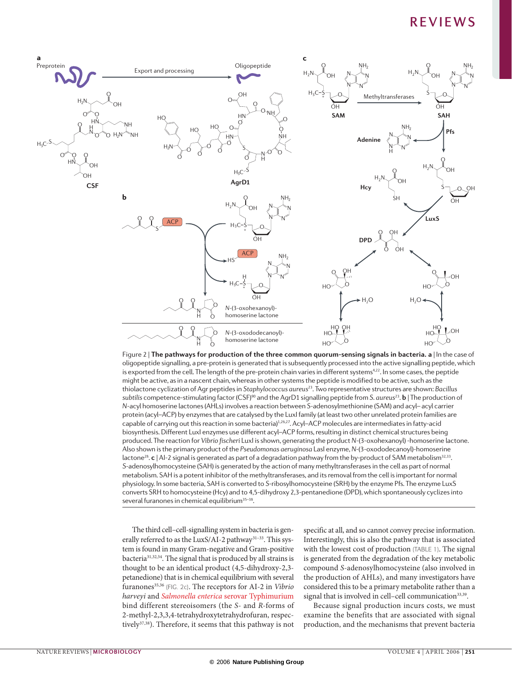

Figure 2 | **The pathways for production of the three common quorum-sensing signals in bacteria. a** | In the case of oligopeptide signalling, a pre-protein is generated that is subsequently processed into the active signalling peptide, which is exported from the cell. The length of the pre-protein chain varies in different systems<sup>4,22</sup>. In some cases, the peptide might be active, as in a nascent chain, whereas in other systems the peptide is modified to be active, such as the thiolactone cyclization of Agr peptides in Staphylococcus aureus<sup>23</sup>. Two representative structures are shown: Bacillus subtilis competence-stimulating factor (CSF)<sup>90</sup> and the AgrD1 signalling peptide from S. aureus<sup>23</sup>. **b** | The production of N-acyl homoserine lactones (AHLs) involves a reaction between S-adenosylmethionine (SAM) and acyl– acyl carrier protein (acyl–ACP) by enzymes that are catalysed by the LuxI family (at least two other unrelated protein families are capable of carrying out this reaction in some bacteria)<sup>1,26,27</sup>. Acyl–ACP molecules are intermediates in fatty-acid biosynthesis. Different LuxI enzymes use different acyl–ACP forms, resulting in distinct chemical structures being produced. The reaction for Vibrio fischeri LuxI is shown, generating the product N-(3-oxohexanoyl) -homoserine lactone. Also shown is the primary product of the Pseudomonas aeruginosa LasI enzyme, N-(3-oxododecanoyl)-homoserine lactone<sup>28</sup>. c | AI-2 signal is generated as part of a degradation pathway from the by-product of SAM metabolism<sup>32,33</sup>. S-adenosylhomocysteine (SAH) is generated by the action of many methyltransferases in the cell as part of normal metabolism. SAH is a potent inhibitor of the methyltransferases, and its removal from the cell is important for normal physiology. In some bacteria, SAH is converted to S-ribosylhomocysteine (SRH) by the enzyme Pfs. The enzyme LuxS converts SRH to homocysteine (Hcy) and to 4,5-dihydroxy 2,3-pentanedione (DPD), which spontaneously cyclizes into several furanones in chemical equilibrium<sup>35-38</sup>.

The third cell–cell-signalling system in bacteria is generally referred to as the LuxS/AI-2 pathway<sup>31-33</sup>. This system is found in many Gram-negative and Gram-positive bacteria31,32,34. The signal that is produced by all strains is thought to be an identical product (4,5-dihydroxy-2,3 petanedione) that is in chemical equilibrium with several furanones<sup>35,36</sup> (FIG. 2c). The receptors for AI-2 in *Vibrio harveyi* and *Salmonella enterica* serovar Typhimurium bind different stereoisomers (the *S-* and *R-*forms of 2-methyl-2,3,3,4-tetrahydroxytetrahydrofuran, respectively<sup>37,38</sup>). Therefore, it seems that this pathway is not specific at all, and so cannot convey precise information. Interestingly, this is also the pathway that is associated with the lowest cost of production (TABLE 1). The signal is generated from the degradation of the key metabolic compound *S*-adenosylhomocysteine (also involved in the production of AHLs), and many investigators have considered this to be a primary metabolite rather than a signal that is involved in cell-cell communication<sup>33,39</sup>.

Because signal production incurs costs, we must examine the benefits that are associated with signal production, and the mechanisms that prevent bacteria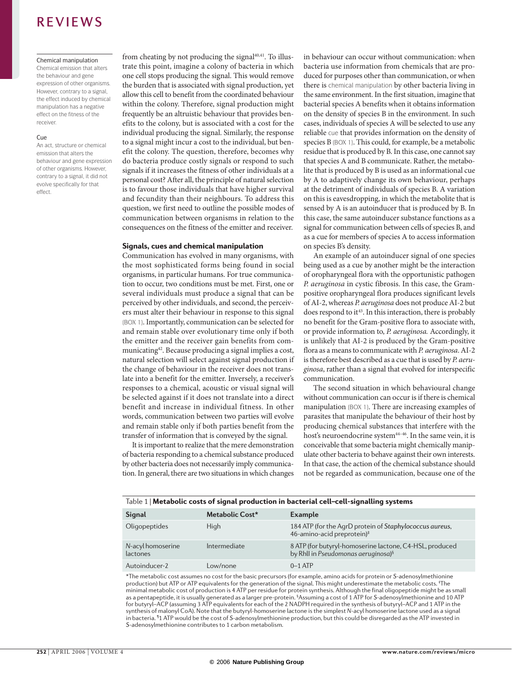#### Chemical manipulation

Chemical emission that alters the behaviour and gene expression of other organisms. However, contrary to a signal, the effect induced by chemical manipulation has a negative effect on the fitness of the receiver.

#### Cue

An act, structure or chemical emission that alters the behaviour and gene expression of other organisms. However, contrary to a signal, it did not evolve specifically for that effect.

from cheating by not producing the signal<sup>40,41</sup>. To illustrate this point, imagine a colony of bacteria in which one cell stops producing the signal. This would remove the burden that is associated with signal production, yet allow this cell to benefit from the coordinated behaviour within the colony. Therefore, signal production might frequently be an altruistic behaviour that provides benefits to the colony, but is associated with a cost for the individual producing the signal. Similarly, the response to a signal might incur a cost to the individual, but benefit the colony. The question, therefore, becomes why do bacteria produce costly signals or respond to such signals if it increases the fitness of other individuals at a personal cost? After all, the principle of natural selection is to favour those individuals that have higher survival and fecundity than their neighbours. To address this question, we first need to outline the possible modes of communication between organisms in relation to the consequences on the fitness of the emitter and receiver.

#### Signals, cues and chemical manipulation

Communication has evolved in many organisms, with the most sophisticated forms being found in social organisms, in particular humans. For true communication to occur, two conditions must be met. First, one or several individuals must produce a signal that can be perceived by other individuals, and second, the perceivers must alter their behaviour in response to this signal (BOX 1). Importantly, communication can be selected for and remain stable over evolutionary time only if both the emitter and the receiver gain benefits from communicating<sup>42</sup>. Because producing a signal implies a cost, natural selection will select against signal production if the change of behaviour in the receiver does not translate into a benefit for the emitter. Inversely, a receiver's responses to a chemical, acoustic or visual signal will be selected against if it does not translate into a direct benefit and increase in individual fitness. In other words, communication between two parties will evolve and remain stable only if both parties benefit from the transfer of information that is conveyed by the signal.

It is important to realize that the mere demonstration of bacteria responding to a chemical substance produced by other bacteria does not necessarily imply communication. In general, there are two situations in which changes in behaviour can occur without communication: when bacteria use information from chemicals that are produced for purposes other than communication, or when there is chemical manipulation by other bacteria living in the same environment. In the first situation, imagine that bacterial species A benefits when it obtains information on the density of species B in the environment. In such cases, individuals of species A will be selected to use any reliable cue that provides information on the density of species B (BOX 1). This could, for example, be a metabolic residue that is produced by B. In this case, one cannot say that species A and B communicate. Rather, the metabolite that is produced by B is used as an informational cue by A to adaptively change its own behaviour, perhaps at the detriment of individuals of species B. A variation on this is eavesdropping, in which the metabolite that is sensed by A is an autoinducer that is produced by B. In this case, the same autoinducer substance functions as a signal for communication between cells of species B, and as a cue for members of species A to access information on species B's density.

An example of an autoinducer signal of one species being used as a cue by another might be the interaction of oropharyngeal flora with the opportunistic pathogen *P. aeruginosa* in cystic fibrosis. In this case, the Grampositive oropharyngeal flora produces significant levels of AI-2, whereas *P. aeruginosa* does not produce AI-2 but does respond to it<sup>43</sup>. In this interaction, there is probably no benefit for the Gram-positive flora to associate with, or provide information to, *P. aeruginosa.* Accordingly, it is unlikely that AI-2 is produced by the Gram-positive flora as a means to communicate with *P. aeruginosa*. AI-2 is therefore best described as a cue that is used by *P. aeruginosa*, rather than a signal that evolved for interspecific communication.

The second situation in which behavioural change without communication can occur is if there is chemical manipulation (BOX 1). There are increasing examples of parasites that manipulate the behaviour of their host by producing chemical substances that interfere with the host's neuroendocrine system<sup>44-46</sup>. In the same vein, it is conceivable that some bacteria might chemically manipulate other bacteria to behave against their own interests. In that case, the action of the chemical substance should not be regarded as communication, because one of the

|  |  | Table 1   Metabolic costs of signal production in bacterial cell-cell-signalling systems |  |
|--|--|------------------------------------------------------------------------------------------|--|
|  |  |                                                                                          |  |

| Signal                        | <b>Metabolic Cost*</b> | Example                                                                                                    |
|-------------------------------|------------------------|------------------------------------------------------------------------------------------------------------|
| Oligopeptides                 | High                   | 184 ATP (for the AgrD protein of Staphylococcus aureus,<br>46-amino-acid preprotein) $*$                   |
| N-acyl homoserine<br>lactones | Intermediate           | 8 ATP (for butyryl-homoserine lactone, C4-HSL, produced<br>by Rhll in Pseudomonas aeruginosa) <sup>§</sup> |
| Autoinducer-2                 | Low/none               | $0-1$ ATP                                                                                                  |
|                               |                        |                                                                                                            |

\*The metabolic cost assumes no cost for the basic precursors (for example, amino acids for protein or *S*-adenosylmethionine production) but ATP or ATP equivalents for the generation of the signal. This might underestimate the metabolic costs. <sup>‡</sup>The minimal metabolic cost of production is 4 ATP per residue for protein synthesis. Although the final oligopeptide might be as small as a pentapeptide, it is usually generated as a larger pre-protein. § Assuming a cost of 1 ATP for *S*-adenosylmethionine and 10 ATP for butyryl–ACP (assuming 3 ATP equivalents for each of the 2 NADPH required in the synthesis of butyryl–ACP and 1 ATP in the synthesis of malonyl CoA). Note that the butyryl-homoserine lactone is the simplest N-acyl homoserine lactone used as a signal in bacteria. ¶ 1 ATP would be the cost of *S*-adenosylmethionine production, but this could be disregarded as the ATP invested in *S*-adenosylmethionine contributes to 1 carbon metabolism.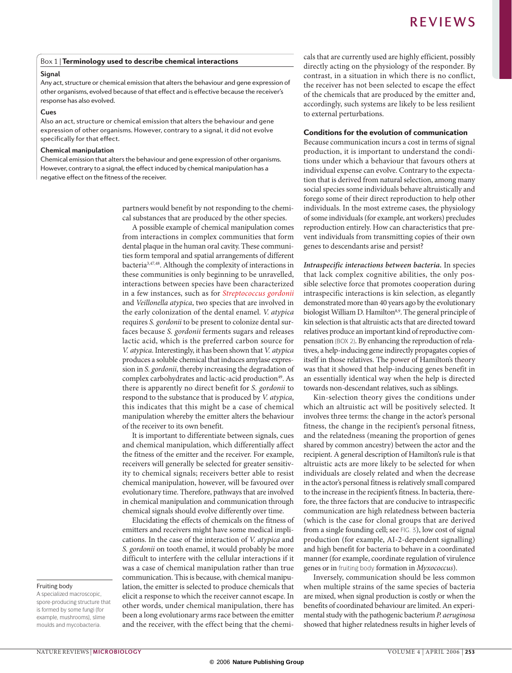#### Box 1 | Terminology used to describe chemical interactions

#### **Signal**

Any act, structure or chemical emission that alters the behaviour and gene expression of other organisms, evolved because of that effect and is effective because the receiver's response has also evolved.

#### **Cues**

Also an act, structure or chemical emission that alters the behaviour and gene expression of other organisms. However, contrary to a signal, it did not evolve specifically for that effect.

#### **Chemical manipulation**

Chemical emission that alters the behaviour and gene expression of other organisms. However, contrary to a signal, the effect induced by chemical manipulation has a negative effect on the fitness of the receiver.

> partners would benefit by not responding to the chemical substances that are produced by the other species.

A possible example of chemical manipulation comes from interactions in complex communities that form dental plaque in the human oral cavity. These communities form temporal and spatial arrangements of different bacteria3,47,48. Although the complexity of interactions in these communities is only beginning to be unravelled, interactions between species have been characterized in a few instances, such as for *Streptococcus gordonii*  and *Veillonella atypica*, two species that are involved in the early colonization of the dental enamel. *V. atypica* requires *S. gordonii* to be present to colonize dental surfaces because *S. gordonii* ferments sugars and releases lactic acid, which is the preferred carbon source for *V. atypica*. Interestingly, it has been shown that *V. atypica* produces a soluble chemical that induces amylase expression in *S. gordonii*, thereby increasing the degradation of complex carbohydrates and lactic-acid production<sup>49</sup>. As there is apparently no direct benefit for *S. gordonii* to respond to the substance that is produced by *V. atypica*, this indicates that this might be a case of chemical manipulation whereby the emitter alters the behaviour of the receiver to its own benefit.

It is important to differentiate between signals, cues and chemical manipulation, which differentially affect the fitness of the emitter and the receiver. For example, receivers will generally be selected for greater sensitivity to chemical signals; receivers better able to resist chemical manipulation, however, will be favoured over evolutionary time. Therefore, pathways that are involved in chemical manipulation and communication through chemical signals should evolve differently over time.

Elucidating the effects of chemicals on the fitness of emitters and receivers might have some medical implications. In the case of the interaction of *V. atypica* and *S. gordonii* on tooth enamel, it would probably be more difficult to interfere with the cellular interactions if it was a case of chemical manipulation rather than true communication. This is because, with chemical manipulation, the emitter is selected to produce chemicals that elicit a response to which the receiver cannot escape. In other words, under chemical manipulation, there has been a long evolutionary arms race between the emitter and the receiver, with the effect being that the chemicals that are currently used are highly efficient, possibly directly acting on the physiology of the responder. By contrast, in a situation in which there is no conflict, the receiver has not been selected to escape the effect of the chemicals that are produced by the emitter and, accordingly, such systems are likely to be less resilient to external perturbations.

#### Conditions for the evolution of communication

Because communication incurs a cost in terms of signal production, it is important to understand the conditions under which a behaviour that favours others at individual expense can evolve. Contrary to the expectation that is derived from natural selection, among many social species some individuals behave altruistically and forego some of their direct reproduction to help other individuals. In the most extreme cases, the physiology of some individuals (for example, ant workers) precludes reproduction entirely. How can characteristics that prevent individuals from transmitting copies of their own genes to descendants arise and persist?

*Intraspecific interactions between bacteria.* In species that lack complex cognitive abilities, the only possible selective force that promotes cooperation during intraspecific interactions is kin selection, as elegantly demonstrated more than 40 years ago by the evolutionary biologist William D. Hamilton<sup>8,9</sup>. The general principle of kin selection is that altruistic acts that are directed toward relatives produce an important kind of reproductive compensation (BOX 2). By enhancing the reproduction of relatives, a help-inducing gene indirectly propagates copies of itself in those relatives. The power of Hamilton's theory was that it showed that help-inducing genes benefit in an essentially identical way when the help is directed towards non*-*descendant relatives, such as siblings.

Kin-selection theory gives the conditions under which an altruistic act will be positively selected. It involves three terms: the change in the actor's personal fitness, the change in the recipient's personal fitness, and the relatedness (meaning the proportion of genes shared by common ancestry) between the actor and the recipient. A general description of Hamilton's rule is that altruistic acts are more likely to be selected for when individuals are closely related and when the decrease in the actor's personal fitness is relatively small compared to the increase in the recipient's fitness. In bacteria, therefore, the three factors that are conducive to intraspecific communication are high relatedness between bacteria (which is the case for clonal groups that are derived from a single founding cell; see FIG. 3), low cost of signal production (for example, AI-2-dependent signalling) and high benefit for bacteria to behave in a coordinated manner (for example, coordinate regulation of virulence genes or in fruiting body formation in *Myxococcus*).

Inversely, communication should be less common when multiple strains of the same species of bacteria are mixed, when signal production is costly or when the benefits of coordinated behaviour are limited. An experimental study with the pathogenic bacterium *P. aeruginosa* showed that higher relatedness results in higher levels of

#### Fruiting body

A specialized macroscopic, spore-producing structure that is formed by some fungi (for example, mushrooms), slime moulds and mycobacteria.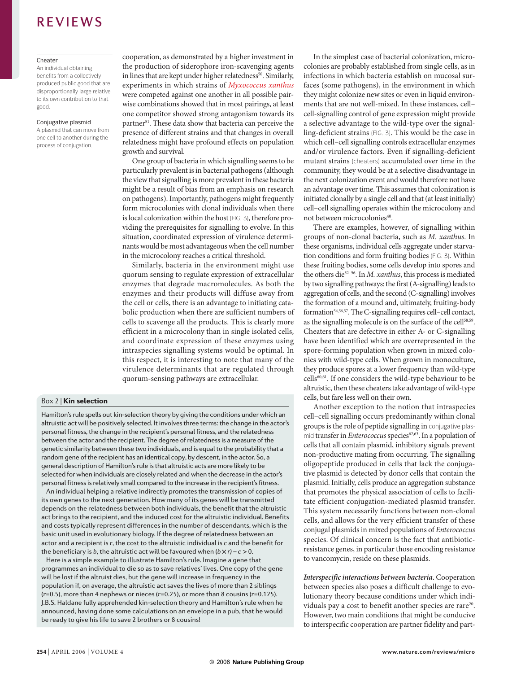#### Cheater

An individual obtaining benefits from a collectively produced public good that are disproportionally large relative to its own contribution to that good.

#### Conjugative plasmid

A plasmid that can move from one cell to another during the process of conjugation.

cooperation, as demonstrated by a higher investment in the production of siderophore iron-scavenging agents in lines that are kept under higher relatedness<sup>50</sup>. Similarly, experiments in which strains of *Myxococcus xanthus* were competed against one another in all possible pairwise combinations showed that in most pairings, at least one competitor showed strong antagonism towards its partner<sup>51</sup>. These data show that bacteria can perceive the presence of different strains and that changes in overall relatedness might have profound effects on population growth and survival.

One group of bacteria in which signalling seems to be particularly prevalent is in bacterial pathogens (although the view that signalling is more prevalent in these bacteria might be a result of bias from an emphasis on research on pathogens). Importantly, pathogens might frequently form microcolonies with clonal individuals when there is local colonization within the host (FIG. 3), therefore providing the prerequisites for signalling to evolve. In this situation, coordinated expression of virulence determinants would be most advantageous when the cell number in the microcolony reaches a critical threshold.

Similarly, bacteria in the environment might use quorum sensing to regulate expression of extracellular enzymes that degrade macromolecules. As both the enzymes and their products will diffuse away from the cell or cells, there is an advantage to initiating catabolic production when there are sufficient numbers of cells to scavenge all the products. This is clearly more efficient in a microcolony than in single isolated cells, and coordinate expression of these enzymes using intraspecies signalling systems would be optimal. In this respect, it is interesting to note that many of the virulence determinants that are regulated through quorum-sensing pathways are extracellular.

#### Box 2 | **Kin selection**

Hamilton's rule spells out kin-selection theory by giving the conditions under which an altruistic act will be positively selected. It involves three terms: the change in the actor's personal fitness, the change in the recipient's personal fitness, and the relatedness between the actor and the recipient. The degree of relatedness is a measure of the genetic similarity between these two individuals, and is equal to the probability that a random gene of the recipient has an identical copy, by descent, in the actor. So, a general description of Hamilton's rule is that altruistic acts are more likely to be selected for when individuals are closely related and when the decrease in the actor's personal fitness is relatively small compared to the increase in the recipient's fitness.

An individual helping a relative indirectly promotes the transmission of copies of its own genes to the next generation. How many of its genes will be transmitted depends on the relatedness between both individuals, the benefit that the altruistic act brings to the recipient, and the induced cost for the altruistic individual. Benefits and costs typically represent differences in the number of descendants, which is the basic unit used in evolutionary biology. If the degree of relatedness between an actor and a recipient is *r*, the cost to the altruistic individual is *c* and the benefit for the beneficiary is *b*, the altruistic act will be favoured when  $(b \times r) - c > 0$ .

Here is a simple example to illustrate Hamilton's rule. Imagine a gene that programmes an individual to die so as to save relatives' lives. One copy of the gene will be lost if the altruist dies, but the gene will increase in frequency in the population if, on average, the altruistic act saves the lives of more than 2 siblings (*r*=0.5), more than 4 nephews or nieces (*r*=0.25), or more than 8 cousins (*r*=0.125). J.B.S. Haldane fully apprehended kin-selection theory and Hamilton's rule when he announced, having done some calculations on an envelope in a pub, that he would be ready to give his life to save 2 brothers or 8 cousins!

In the simplest case of bacterial colonization, microcolonies are probably established from single cells, as in infections in which bacteria establish on mucosal surfaces (some pathogens), in the environment in which they might colonize new sites or even in liquid environments that are not well-mixed. In these instances, cell– cell-signalling control of gene expression might provide a selective advantage to the wild-type over the signalling-deficient strains (FIG. 3). This would be the case in which cell–cell signalling controls extracellular enzymes and/or virulence factors. Even if signalling-deficient mutant strains (cheaters) accumulated over time in the community, they would be at a selective disadvantage in the next colonization event and would therefore not have an advantage over time. This assumes that colonization is initiated clonally by a single cell and that (at least initially) cell–cell signalling operates within the microcolony and not between microcolonies<sup>40</sup>.

There are examples, however, of signalling within groups of non*-*clonal bacteria, such as *M. xanthus*. In these organisms, individual cells aggregate under starvation conditions and form fruiting bodies (FIG. 3). Within these fruiting bodies, some cells develop into spores and the others die52–56. In *M. xanthus*, this process is mediated by two signalling pathways: the first (A-signalling) leads to aggregation of cells, and the second (C-signalling) involves the formation of a mound and, ultimately, fruiting-body formation<sup>54,56,57</sup>. The C-signalling requires cell–cell contact, as the signalling molecule is on the surface of the cell58,59. Cheaters that are defective in either A- or C-signalling have been identified which are overrepresented in the spore-forming population when grown in mixed colonies with wild-type cells. When grown in monoculture, they produce spores at a lower frequency than wild-type cells60,61. If one considers the wild-type behaviour to be altruistic, then these cheaters take advantage of wild-type cells, but fare less well on their own.

Another exception to the notion that intraspecies cell–cell signalling occurs predominantly within clonal groups is the role of peptide signalling in conjugative plasmid transfer in *Enterococcus* species<sup>62,63</sup>. In a population of cells that all contain plasmid, inhibitory signals prevent non-productive mating from occurring. The signalling oligopeptide produced in cells that lack the conjugative plasmid is detected by donor cells that contain the plasmid. Initially, cells produce an aggregation substance that promotes the physical association of cells to facilitate efficient conjugation-mediated plasmid transfer. This system necessarily functions between non*-*clonal cells, and allows for the very efficient transfer of these conjugal plasmids in mixed populations of *Enterococcus* species. Of clinical concern is the fact that antibioticresistance genes, in particular those encoding resistance to vancomycin, reside on these plasmids.

*Interspecific interactions between bacteria.* Cooperation between species also poses a difficult challenge to evolutionary theory because conditions under which individuals pay a cost to benefit another species are rare<sup>20</sup>. However, two main conditions that might be conducive to interspecific cooperation are partner fidelity and part-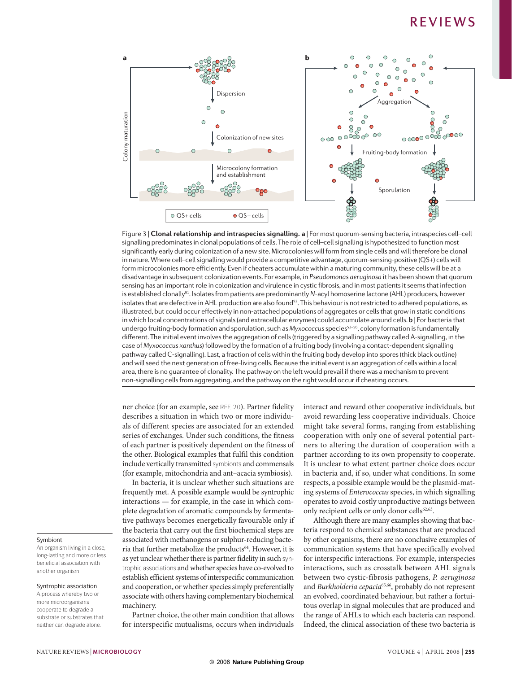

Figure 3 | **Clonal relationship and intraspecies signalling. a** | For most quorum-sensing bacteria, intraspecies cell–cell signalling predominates in clonal populations of cells. The role of cell–cell signalling is hypothesized to function most significantly early during colonization of a new site. Microcolonies will form from single cells and will therefore be clonal in nature. Where cell–cell signalling would provide a competitive advantage, quorum-sensing-positive (QS+) cells will form microcolonies more efficiently. Even if cheaters accumulate within a maturing community, these cells will be at a disadvantage in subsequent colonization events. For example, in Pseudomonas aeruginosa it has been shown that quorum sensing has an important role in colonization and virulence in cystic fibrosis, and in most patients it seems that infection is established clonally<sup>91</sup>. Isolates from patients are predominantly N-acyl homoserine lactone (AHL) producers, however isolates that are defective in AHL production are also found<sup>92</sup>. This behaviour is not restricted to adhered populations, as illustrated, but could occur effectively in non-attached populations of aggregates or cells that grow in static conditions in which local concentrations of signals (and extracellular enzymes) could accumulate around cells. **b** | For bacteria that undergo fruiting-body formation and sporulation, such as Myxococcus species<sup>52-56</sup>, colony formation is fundamentally different. The initial event involves the aggregation of cells (triggered by a signalling pathway called A-signalling, in the case of Myxococcus xanthus) followed by the formation of a fruiting body (involving a contact-dependent signalling pathway called C-signalling). Last, a fraction of cells within the fruiting body develop into spores (thick black outline) and will seed the next generation of free-living cells. Because the initial event is an aggregation of cells within a local area, there is no guarantee of clonality. The pathway on the left would prevail if there was a mechanism to prevent non-signalling cells from aggregating, and the pathway on the right would occur if cheating occurs.

ner choice (for an example, see REF. 20). Partner fidelity describes a situation in which two or more individuals of different species are associated for an extended series of exchanges. Under such conditions, the fitness of each partner is positively dependent on the fitness of the other. Biological examples that fulfil this condition include vertically transmitted symbionts and commensals (for example, mitochondria and ant–acacia symbiosis).

In bacteria, it is unclear whether such situations are frequently met. A possible example would be syntrophic interactions — for example, in the case in which complete degradation of aromatic compounds by fermentative pathways becomes energetically favourable only if the bacteria that carry out the first biochemical steps are associated with methanogens or sulphur-reducing bacteria that further metabolize the products<sup>64</sup>. However, it is as yet unclear whether there is partner fidelity in such syntrophic associations and whether species have co-evolved to establish efficient systems of interspecific communication and cooperation, or whether species simply preferentially associate with others having complementary biochemical machinery.

Partner choice, the other main condition that allows for interspecific mutualisms, occurs when individuals interact and reward other cooperative individuals, but avoid rewarding less cooperative individuals. Choice might take several forms, ranging from establishing cooperation with only one of several potential partners to altering the duration of cooperation with a partner according to its own propensity to cooperate. It is unclear to what extent partner choice does occur in bacteria and, if so, under what conditions. In some respects, a possible example would be the plasmid-mating systems of *Enterococcus* species, in which signalling operates to avoid costly unproductive matings between only recipient cells or only donor cells<sup>62,63</sup>.

Although there are many examples showing that bacteria respond to chemical substances that are produced by other organisms, there are no conclusive examples of communication systems that have specifically evolved for interspecific interactions. For example, interspecies interactions, such as crosstalk between AHL signals between two cystic-fibrosis pathogens, *P. aeruginosa* and *Burkholderia cepacia*65,66, probably do not represent an evolved, coordinated behaviour, but rather a fortuitous overlap in signal molecules that are produced and the range of AHLs to which each bacteria can respond. Indeed, the clinical association of these two bacteria is

#### Symbiont

An organism living in a close, long-lasting and more or less beneficial association with another organism.

#### Syntrophic association

A process whereby two or more microorganisms cooperate to degrade a substrate or substrates that neither can degrade alone.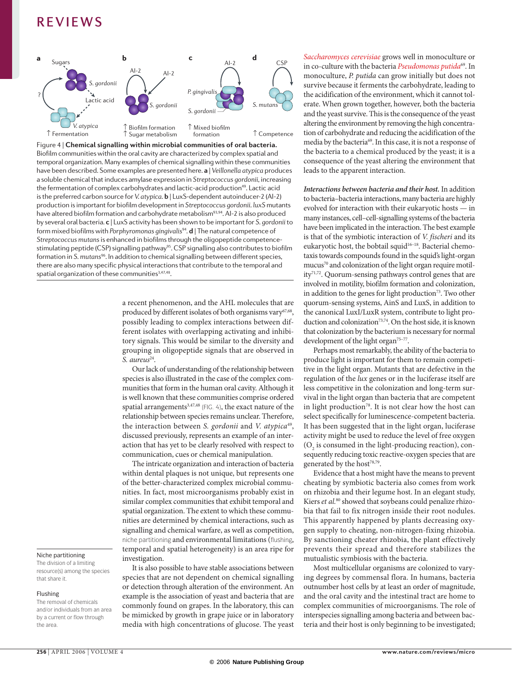

Figure 4 | **Chemical signalling within microbial communities of oral bacteria.**  Biofilm communities within the oral cavity are characterized by complex spatial and temporal organization. Many examples of chemical signalling within these communities have been described. Some examples are presented here. **a** | Veillonella atypica produces a soluble chemical that induces amylase expression in Streptococcus gordonii, increasing the fermentation of complex carbohydrates and lactic-acid production<sup>49</sup>. Lactic acid is the preferred carbon source for V. atypica. **b** | LuxS-dependent autoinducer-2 (AI-2) production is important for biofilm development in Streptococcus gordonii. luxS mutants have altered biofilm formation and carbohydrate metabolism<sup>93,94</sup>. Al-2 is also produced by several oral bacteria. **c** | LuxS activity has been shown to be important for S. gordonii to form mixed biofilms with Porphyromonas gingivalis<sup>94</sup>. **d** | The natural competence of Streptococcus mutans is enhanced in biofilms through the oligopeptide competencestimulating peptide (CSP) signalling pathway<sup>95</sup>. CSP signalling also contributes to biofilm formation in S. mutans<sup>96</sup>. In addition to chemical signalling between different species, there are also many specific physical interactions that contribute to the temporal and spatial organization of these communities $3,47,48$ .

a recent phenomenon, and the AHL molecules that are produced by different isolates of both organisms vary<sup>67,68</sup>, possibly leading to complex interactions between different isolates with overlapping activating and inhibitory signals. This would be similar to the diversity and grouping in oligopeptide signals that are observed in *S. aureus*24.

Our lack of understanding of the relationship between species is also illustrated in the case of the complex communities that form in the human oral cavity. Although it is well known that these communities comprise ordered spatial arrangements $3,47,48$  (FIG. 4), the exact nature of the relationship between species remains unclear. Therefore, the interaction between *S. gordonii* and *V. atypica*49, discussed previously, represents an example of an interaction that has yet to be clearly resolved with respect to communication, cues or chemical manipulation.

The intricate organization and interaction of bacteria within dental plaques is not unique, but represents one of the better-characterized complex microbial communities. In fact, most microorganisms probably exist in similar complex communities that exhibit temporal and spatial organization. The extent to which these communities are determined by chemical interactions, such as signalling and chemical warfare, as well as competition, niche partitioning and environmental limitations (flushing, temporal and spatial heterogeneity) is an area ripe for investigation.

It is also possible to have stable associations between species that are not dependent on chemical signalling or detection through alteration of the environment. An example is the association of yeast and bacteria that are commonly found on grapes. In the laboratory, this can be mimicked by growth in grape juice or in laboratory media with high concentrations of glucose. The yeast *Saccharomyces cerevisiae* grows well in monoculture or in co-culture with the bacteria *Pseudomonas putida*69. In monoculture, *P. putida* can grow initially but does not survive because it ferments the carbohydrate, leading to the acidification of the environment, which it cannot tolerate. When grown together, however, both the bacteria and the yeast survive. This is the consequence of the yeast altering the environment by removing the high concentration of carbohydrate and reducing the acidification of the media by the bacteria<sup>69</sup>. In this case, it is not a response of the bacteria to a chemical produced by the yeast; it is a consequence of the yeast altering the environment that leads to the apparent interaction.

*Interactions between bacteria and their host.* In addition to bacteria–bacteria interactions, many bacteria are highly evolved for interaction with their eukaryotic hosts — in many instances, cell–cell-signalling systems of the bacteria have been implicated in the interaction. The best example is that of the symbiotic interaction of *V. fischeri* and its eukaryotic host, the bobtail squid<sup>16-18</sup>. Bacterial chemotaxis towards compounds found in the squid's light-organ mucus<sup>70</sup> and colonization of the light organ require motility<sup>71,72</sup>. Quorum-sensing pathways control genes that are involved in motility, biofilm formation and colonization, in addition to the genes for light production<sup>73</sup>. Two other quorum-sensing systems, AinS and LuxS, in addition to the canonical LuxI/LuxR system, contribute to light production and colonization<sup>73,74</sup>. On the host side, it is known that colonization by the bacterium is necessary for normal development of the light organ<sup>75-77</sup>.

Perhaps most remarkably, the ability of the bacteria to produce light is important for them to remain competitive in the light organ. Mutants that are defective in the regulation of the *lux* genes or in the luciferase itself are less competitive in the colonization and long-term survival in the light organ than bacteria that are competent in light production<sup>78</sup>. It is not clear how the host can select specifically for luminescence-competent bacteria. It has been suggested that in the light organ, luciferase activity might be used to reduce the level of free oxygen  $(O<sub>2</sub>$  is consumed in the light-producing reaction), consequently reducing toxic reactive-oxygen species that are generated by the host<sup>78,79</sup>.

Evidence that a host might have the means to prevent cheating by symbiotic bacteria also comes from work on rhizobia and their legume host. In an elegant study, Kiers *et al.*<sup>80</sup> showed that soybeans could penalize rhizobia that fail to fix nitrogen inside their root nodules. This apparently happened by plants decreasing oxygen supply to cheating, non-nitrogen-fixing rhizobia. By sanctioning cheater rhizobia, the plant effectively prevents their spread and therefore stabilizes the mutualistic symbiosis with the bacteria.

Most multicellular organisms are colonized to varying degrees by commensal flora. In humans, bacteria outnumber host cells by at least an order of magnitude, and the oral cavity and the intestinal tract are home to complex communities of microorganisms. The role of interspecies signalling among bacteria and between bacteria and their host is only beginning to be investigated;

#### Niche partitioning

The division of a limiting resource(s) among the species that share it.

#### Flushing

The removal of chemicals and/or individuals from an area by a current or flow through the area.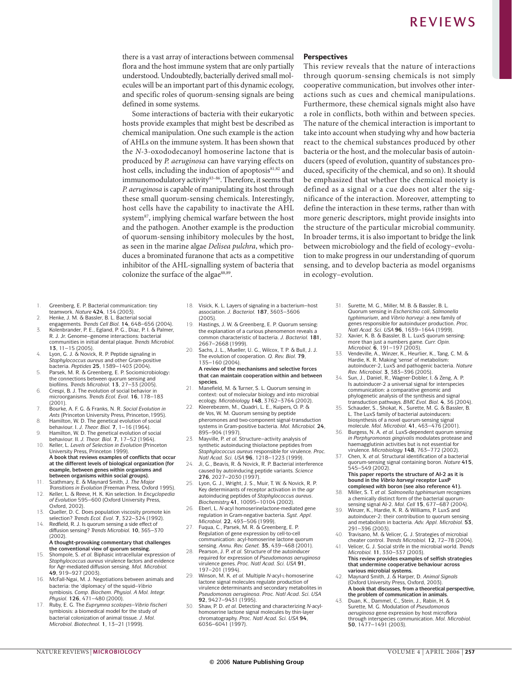there is a vast array of interactions between commensal flora and the host immune system that are only partially understood. Undoubtedly, bacterially derived small molecules will be an important part of this dynamic ecology, and specific roles of quorum-sensing signals are being defined in some systems.

Some interactions of bacteria with their eukaryotic hosts provide examples that might best be described as chemical manipulation. One such example is the action of AHLs on the immune system. It has been shown that the *N-*3-oxododecanoyl homoserine lactone that is produced by *P. aeruginosa* can have varying effects on host cells, including the induction of apoptosis<sup>81,82</sup> and immunomodulatory activity<sup>83-86</sup>. Therefore, it seems that *P. aeruginosa* is capable of manipulating its host through these small quorum-sensing chemicals. Interestingly, host cells have the capability to inactivate the AHL system<sup>87</sup>, implying chemical warfare between the host and the pathogen. Another example is the production of quorum-sensing inhibitory molecules by the host, as seen in the marine algae *Delisea pulchra*, which produces a brominated furanone that acts as a competitive inhibitor of the AHL-signalling system of bacteria that colonize the surface of the algae<sup>88,89</sup>.

#### **Perspectives**

This review reveals that the nature of interactions through quorum-sensing chemicals is not simply cooperative communication, but involves other interactions such as cues and chemical manipulations. Furthermore, these chemical signals might also have a role in conflicts, both within and between species. The nature of the chemical interaction is important to take into account when studying why and how bacteria react to the chemical substances produced by other bacteria or the host, and the molecular basis of autoinducers (speed of evolution, quantity of substances produced, specificity of the chemical, and so on). It should be emphasized that whether the chemical moiety is defined as a signal or a cue does not alter the significance of the interaction. Moreover, attempting to define the interaction in these terms, rather than with more generic descriptors, might provide insights into the structure of the particular microbial community. In broader terms, it is also important to bridge the link between microbiology and the field of ecology–evolution to make progress in our understanding of quorum sensing, and to develop bacteria as model organisms in ecology–evolution.

- 1. Greenberg, E. P. Bacterial communication: tiny teamwork. *Nature* **424**, 134 (2003).
- 2. Henke, J. M. & Bassler, B. L. Bacterial social engagements. *Trends Cell Biol.* **14**, 648–656 (2004).
- Kolenbrander, P. E., Egland, P. G., Diaz, P. I. & Palmer, R. J. Jr. Genome–genome interactions: bacterial
- communities in initial dental plaque. *Trends Microbiol.*  **13**, 11–15 (2005). 4. Lyon, G. J. & Novick, R. P. Peptide signaling in
- *Staphylococcus aureus* and other Gram-positive bacteria. *Peptides* **25**, 1389–1403 (2004). Parsek, M. R. & Greenberg, E. P. Sociomicrobiology:
- the connections between quorum sensing and biofilms. *Trends Microbiol.* **13**, 27–33 (2005).
- 6. Crespi, B. J. The evolution of social behavior in microorganisms. *Trends Ecol. Evol.* **16**, 178–183 (2001).
- 7. Bourke, A. F. G. & Franks, N. R. *Social Evolution in Ants* (Princeton University Press, Princeton,1995).
- 8. Hamilton, W. D. The genetical evolution of social behaviour. I. *J. Theor. Biol.* **7**, 1–16 (1964). 9. Hamilton, W. D. The genetical evolution of social
- behaviour. II. *J. Theor. Biol.* **7**, 17–52 (1964).
- 10. Keller, L. *Levels of Selection in Evolution* (Princeton University Press, Princeton 1999). **A book that reviews examples of conflicts that occur at the different levels of biological organization (for example, between genes within organisms and between organisms within social groups).**
- 11. Szathmary, E. & Maynard Smith, J. *The Major Transitions in Evolution* (Freeman Press, Oxford 1995).
- 12. Keller, L. & Reeve, H. K. Kin selection. In *Encyclopedia of Evolution* 595–600 (Oxford University Press, Oxford, 2002).
- 13. Queller, D. C. Does population viscosity promote kin selection? *Trends Ecol. Evol.* **7**, 322–324 (1992).
- 14. Redfield, R. J. Is quorum sensing a side effect of diffusion sensing? *Trends Microbiol.* **10**, 365–370 (2002). **A thought-provoking commentary that challenges**

## **the conventional view of quorum sensing.** 15. Shompole, S. *et al.* Biphasic intracellular expression of

- *Staphylococcus aureus* virulence factors and evidence for Agr-mediated diffusion sensing. *Mol. Microbiol.*  **49**, 919–927 (2003).
- 16. McFall-Ngai, M. J. Negotiations between animals and bacteria: the 'diplomacy' of the squid–*Vibrio* symbiosis. *Comp. Biochem. Physiol. A Mol. Integr. Physiol.* **126**, 471–480 (2000).
- 17. Ruby, E. G. The *Euprymna scolopes*–*Vibrio fischeri* symbiosis: a biomedical model for the study of bacterial colonization of animal tissue. *J. Mol. Microbiol. Biotechnol.* **1**, 13–21 (1999).
- 18. Visick, K. L. Layers of signaling in a bacterium–host association. *J. Bacteriol.* **187**, 3603–3606 (2005).
- 19. Hastings, J. W. & Greenberg, E. P. Quorum sensing: the explanation of a curious phenomenon reveals a common characteristic of bacteria. *J. Bacteriol.* **181**, 2667–2668 (1999).
- 20. Sachs, J. L., Mueller, U. G., Wilcox, T. P. & Bull, J. J. The evolution of cooperation. *Q. Rev. Biol.* **79**, 135–160 (2004). **A review of the mechanisms and selective forces that can maintain cooperation within and between**
- **species.** 21. Manefield, M. & Turner, S. L. Quorum sensing in context: out of molecular biology and into microbial
- ecology. *Microbiology* **148**, 3762–3764 (2002). Kleerebezem, M., Quadri, L. E., Kuipers, O. P. & de Vos, W. M. Quorum sensing by peptide
- pheromones and two-component signal-transduction systems in Gram-positive bacteria. *Mol. Microbiol.* **24**, 895–904 (1997). 23. Mayville, P. *et al.* Structure–activity analysis of
- synthetic autoinducing thiolactone peptides from *Staphylococcus aureus* responsible for virulence. *Proc. Natl Acad. Sci. USA* **96**, 1218–1223 (1999).
- 24. Ji, G., Beavis, R. & Novick, R. P. Bacterial interference caused by autoinducing peptide variants. *Science* **276**, 2027–2030 (1997).
- 25. Lyon, G. J., Wright, J. S., Muir, T. W. & Novick, R. P. Key determinants of receptor activation in the *agr* autoinducing peptides of *Staphylococcus aureus*. *Biochemistry* **41**, 10095–10104 (2002).
- 26. Eberl, L. *N*-acyl homoserinelactone-mediated gene regulation in Gram-negative bacteria. *Syst. Appl.*
- *Microbiol.* **22**, 493–506 (1999). 27. Fuqua, C., Parsek, M. R. & Greenberg, E. P. Regulation of gene expression by cell-to-cell communication: acyl-homoserine lactone quorum sensing. *Annu. Rev. Genet.* **35**, 439–468 (2001).
- 28. Pearson, J. P. *et al.* Structure of the autoinducer required for expression of *Pseudomonas aeruginosa* virulence genes. *Proc. Natl Acad. Sci. USA* **91**, 197–201 (1994).
- 29. Winson, M. K. *et al.* Multiple *N*-acyl-L-homoserine lactone signal molecules regulate production of virulence determinants and secondary metabolites in *Pseudomonas aeruginosa*. *Proc. Natl Acad. Sci. USA* **92**, 9427–9431 (1995).
- 30. Shaw, P. D. *et al.* Detecting and characterizing *N*-acylhomoserine lactone signal molecules by thin-layer chromatography. *Proc. Natl Acad. Sci. USA* **94**, 6036–6041 (1997).
- 31. Surette, M. G., Miller, M. B. & Bassler, B. L. Quorum sensing in *Escherichia coli*, *Salmonella typhimurium*, and *Vibrio harveyi*: a new family of genes responsible for autoinducer production. *Proc. Natl Acad. Sci. USA* **96**, 1639–1644 (1999).
- Xavier, K. B. & Bassler, B. L. LuxS quorum sensing: more than just a numbers game. *Curr. Opin. Microbiol.* **6**, 191–197 (2003).
- 33. Vendeville, A., Winzer, K., Heurlier, K., Tang, C. M. & Hardie, K. R. Making 'sense' of metabolism: autoinducer-2, LuxS and pathogenic bacteria. *Nature*
- *Rev. Microbiol.* **3**, 383–396 (2005). 34. Sun, J., Daniel, R., Wagner-Dobler, I. & Zeng, A. P. Is autoinducer-2 a universal signal for interspecies communication: a comparative genomic and phylogenetic analysis of the synthesis and signal transduction pathways. *BMC Evol. Biol.* **4**, 36 (2004).
- Schauder, S., Shokat, K., Surette, M. G. & Bassler, B. L. The LuxS family of bacterial autoinducers: biosynthesis of a novel quorum-sensing signal molecule. *Mol. Microbiol.* **41**, 463–476 (2001).
- 36. Burgess, N. A. *et al.* LuxS-dependent quorum sensing *in Porphyromonas gingivalis* modulates protease and haemagglutinin activities but is not essential for virulence. *Microbiology* **148**, 763–772 (2002).
- 37. Chen, X. *et al.* Structural identification of a bacterial quorum-sensing signal containing boron. *Nature* **415**, 545–549 (2002).

**This paper reports the structure of AI-2 as it is bound in the** *Vibrio harveyi* **receptor LuxP complexed with boron (see also reference 41).**

- 38. Miller, S. T. *et al. Salmonella typhimurium* recognizes a chemically distinct form of the bacterial quorumsensing signal AI-2. *Mol. Cell* **15**, 677–687 (2004).
- 39. Winzer, K., Hardie, K. R. & Williams, P. LuxS and autoinducer-2: their contribution to quorum sensing and metabolism in bacteria. *Adv. Appl. Microbiol.* **53**, 291–396 (2003).
- 40. Travisano, M. & Velicer, G. J. Strategies of microbial cheater control. *Trends Microbiol.* **12**, 72–78 (2004).
- 41. Velicer, G. J. Social strife in the microbial world. *Trends Microbiol.* **11**, 330–337 (2003).
- **This review provides examples of selfish strategies that undermine cooperative behaviour across various microbial systems.**
- 42. Maynard Smith, J. & Harper, D. *Animal Signals* (Oxford University Press, Oxford, 2003). **A book that discusses, from a theoretical perspective, the problem of communication in animals.**
- 43. Duan, K., Dammel, C., Stein, J., Rabin, H. & Surette, M. G. Modulation of *Pseudomonas aeruginosa* gene expression by host microflora through interspecies communication. *Mol. Microbiol.*  **50**, 1477–1491 (2003).